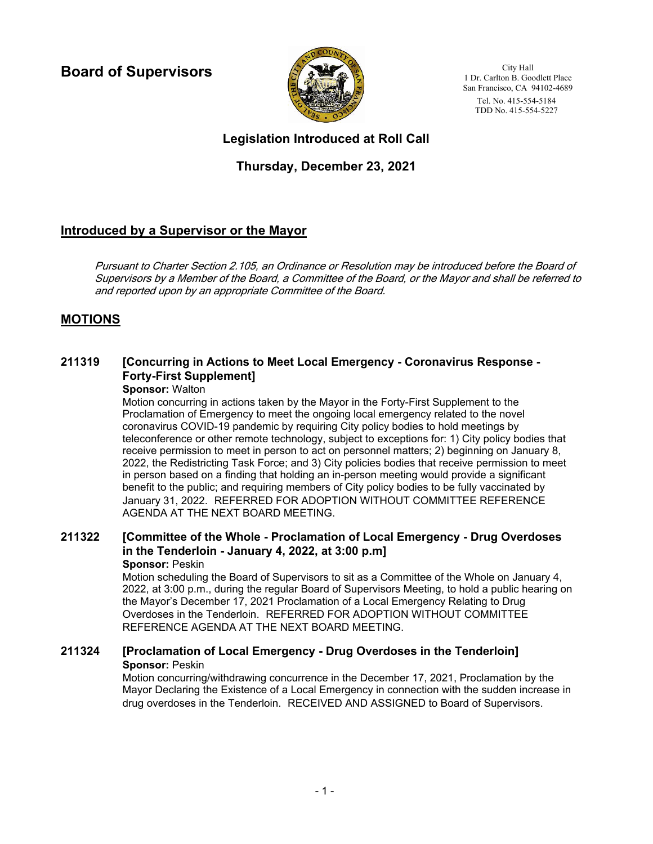**Board of Supervisors**



City Hall 1 Dr. Carlton B. Goodlett Place San Francisco, CA 94102-4689 Tel. No. 415-554-5184 TDD No. 415-554-5227

# **Legislation Introduced at Roll Call**

## **Thursday, December 23, 2021**

## **Introduced by a Supervisor or the Mayor**

Pursuant to Charter Section 2.105, an Ordinance or Resolution may be introduced before the Board of Supervisors by a Member of the Board, a Committee of the Board, or the Mayor and shall be referred to and reported upon by an appropriate Committee of the Board.

## **MOTIONS**

#### **[Concurring in Actions to Meet Local Emergency - Coronavirus Response - Forty-First Supplement] 211319**

### **Sponsor:** Walton

Motion concurring in actions taken by the Mayor in the Forty-First Supplement to the Proclamation of Emergency to meet the ongoing local emergency related to the novel coronavirus COVID-19 pandemic by requiring City policy bodies to hold meetings by teleconference or other remote technology, subject to exceptions for: 1) City policy bodies that receive permission to meet in person to act on personnel matters; 2) beginning on January 8, 2022, the Redistricting Task Force; and 3) City policies bodies that receive permission to meet in person based on a finding that holding an in-person meeting would provide a significant benefit to the public; and requiring members of City policy bodies to be fully vaccinated by January 31, 2022. REFERRED FOR ADOPTION WITHOUT COMMITTEE REFERENCE AGENDA AT THE NEXT BOARD MEETING.

#### **[Committee of the Whole - Proclamation of Local Emergency - Drug Overdoses in the Tenderloin - January 4, 2022, at 3:00 p.m] 211322 Sponsor:** Peskin

#### Motion scheduling the Board of Supervisors to sit as a Committee of the Whole on January 4, 2022, at 3:00 p.m., during the regular Board of Supervisors Meeting, to hold a public hearing on the Mayor's December 17, 2021 Proclamation of a Local Emergency Relating to Drug Overdoses in the Tenderloin. REFERRED FOR ADOPTION WITHOUT COMMITTEE REFERENCE AGENDA AT THE NEXT BOARD MEETING.

### **211324 [Proclamation of Local Emergency - Drug Overdoses in the Tenderloin] Sponsor:** Peskin

Motion concurring/withdrawing concurrence in the December 17, 2021, Proclamation by the Mayor Declaring the Existence of a Local Emergency in connection with the sudden increase in drug overdoses in the Tenderloin. RECEIVED AND ASSIGNED to Board of Supervisors.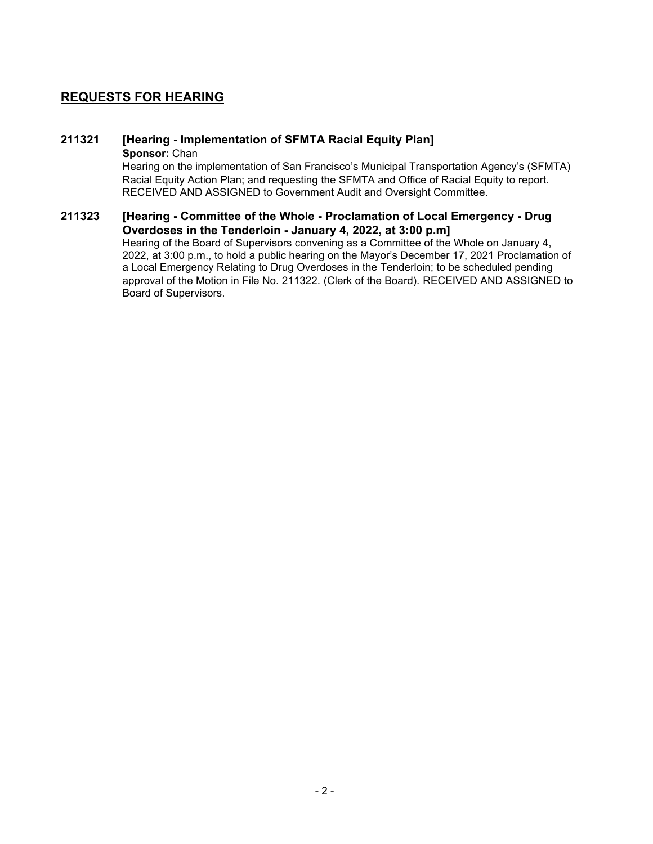### **REQUESTS FOR HEARING**

# **211321 [Hearing - Implementation of SFMTA Racial Equity Plan]**

**Sponsor:** Chan

Hearing on the implementation of San Francisco's Municipal Transportation Agency's (SFMTA) Racial Equity Action Plan; and requesting the SFMTA and Office of Racial Equity to report. RECEIVED AND ASSIGNED to Government Audit and Oversight Committee.

#### **[Hearing - Committee of the Whole - Proclamation of Local Emergency - Drug Overdoses in the Tenderloin - January 4, 2022, at 3:00 p.m] 211323**

Hearing of the Board of Supervisors convening as a Committee of the Whole on January 4, 2022, at 3:00 p.m., to hold a public hearing on the Mayor's December 17, 2021 Proclamation of a Local Emergency Relating to Drug Overdoses in the Tenderloin; to be scheduled pending approval of the Motion in File No. 211322. (Clerk of the Board). RECEIVED AND ASSIGNED to Board of Supervisors.